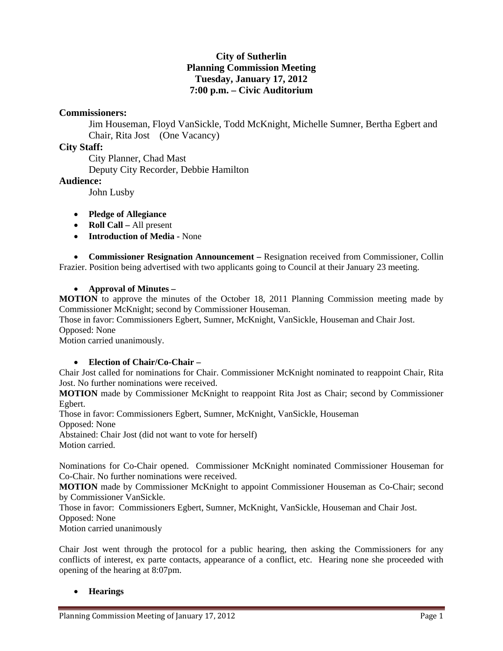# **City of Sutherlin Planning Commission Meeting Tuesday, January 17, 2012 7:00 p.m. – Civic Auditorium**

# **Commissioners:**

Jim Houseman, Floyd VanSickle, Todd McKnight, Michelle Sumner, Bertha Egbert and Chair, Rita Jost (One Vacancy)

## **City Staff:**

 City Planner, Chad Mast Deputy City Recorder, Debbie Hamilton

## **Audience:**

John Lusby

- **Pledge of Allegiance**
- **Roll Call All present**
- **Introduction of Media** None

 **Commissioner Resignation Announcement –** Resignation received from Commissioner, Collin Frazier. Position being advertised with two applicants going to Council at their January 23 meeting.

#### **Approval of Minutes –**

**MOTION** to approve the minutes of the October 18, 2011 Planning Commission meeting made by Commissioner McKnight; second by Commissioner Houseman.

Those in favor: Commissioners Egbert, Sumner, McKnight, VanSickle, Houseman and Chair Jost. Opposed: None

Motion carried unanimously.

#### **Election of Chair/Co-Chair –**

Chair Jost called for nominations for Chair. Commissioner McKnight nominated to reappoint Chair, Rita Jost. No further nominations were received.

**MOTION** made by Commissioner McKnight to reappoint Rita Jost as Chair; second by Commissioner Egbert.

Those in favor: Commissioners Egbert, Sumner, McKnight, VanSickle, Houseman

Opposed: None

Abstained: Chair Jost (did not want to vote for herself) Motion carried.

Nominations for Co-Chair opened. Commissioner McKnight nominated Commissioner Houseman for Co-Chair. No further nominations were received.

**MOTION** made by Commissioner McKnight to appoint Commissioner Houseman as Co-Chair; second by Commissioner VanSickle.

Those in favor: Commissioners Egbert, Sumner, McKnight, VanSickle, Houseman and Chair Jost.

Opposed: None

Motion carried unanimously

Chair Jost went through the protocol for a public hearing, then asking the Commissioners for any conflicts of interest, ex parte contacts, appearance of a conflict, etc. Hearing none she proceeded with opening of the hearing at 8:07pm.

#### **Hearings**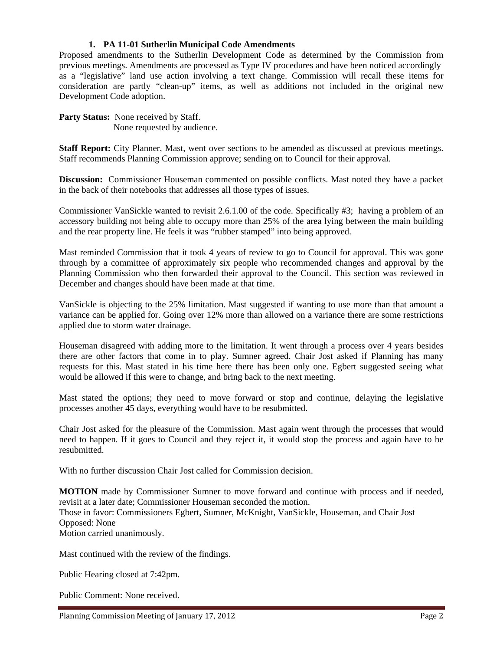#### **1. PA 11-01 Sutherlin Municipal Code Amendments**

Proposed amendments to the Sutherlin Development Code as determined by the Commission from previous meetings. Amendments are processed as Type IV procedures and have been noticed accordingly as a "legislative" land use action involving a text change. Commission will recall these items for consideration are partly "clean-up" items, as well as additions not included in the original new Development Code adoption.

**Party Status:** None received by Staff. None requested by audience.

**Staff Report:** City Planner, Mast, went over sections to be amended as discussed at previous meetings. Staff recommends Planning Commission approve; sending on to Council for their approval.

**Discussion:** Commissioner Houseman commented on possible conflicts. Mast noted they have a packet in the back of their notebooks that addresses all those types of issues.

Commissioner VanSickle wanted to revisit 2.6.1.00 of the code. Specifically #3; having a problem of an accessory building not being able to occupy more than 25% of the area lying between the main building and the rear property line. He feels it was "rubber stamped" into being approved.

Mast reminded Commission that it took 4 years of review to go to Council for approval. This was gone through by a committee of approximately six people who recommended changes and approval by the Planning Commission who then forwarded their approval to the Council. This section was reviewed in December and changes should have been made at that time.

VanSickle is objecting to the 25% limitation. Mast suggested if wanting to use more than that amount a variance can be applied for. Going over 12% more than allowed on a variance there are some restrictions applied due to storm water drainage.

Houseman disagreed with adding more to the limitation. It went through a process over 4 years besides there are other factors that come in to play. Sumner agreed. Chair Jost asked if Planning has many requests for this. Mast stated in his time here there has been only one. Egbert suggested seeing what would be allowed if this were to change, and bring back to the next meeting.

Mast stated the options; they need to move forward or stop and continue, delaying the legislative processes another 45 days, everything would have to be resubmitted.

Chair Jost asked for the pleasure of the Commission. Mast again went through the processes that would need to happen. If it goes to Council and they reject it, it would stop the process and again have to be resubmitted.

With no further discussion Chair Jost called for Commission decision.

**MOTION** made by Commissioner Sumner to move forward and continue with process and if needed, revisit at a later date; Commissioner Houseman seconded the motion. Those in favor: Commissioners Egbert, Sumner, McKnight, VanSickle, Houseman, and Chair Jost Opposed: None Motion carried unanimously.

Mast continued with the review of the findings.

Public Hearing closed at 7:42pm.

Public Comment: None received.